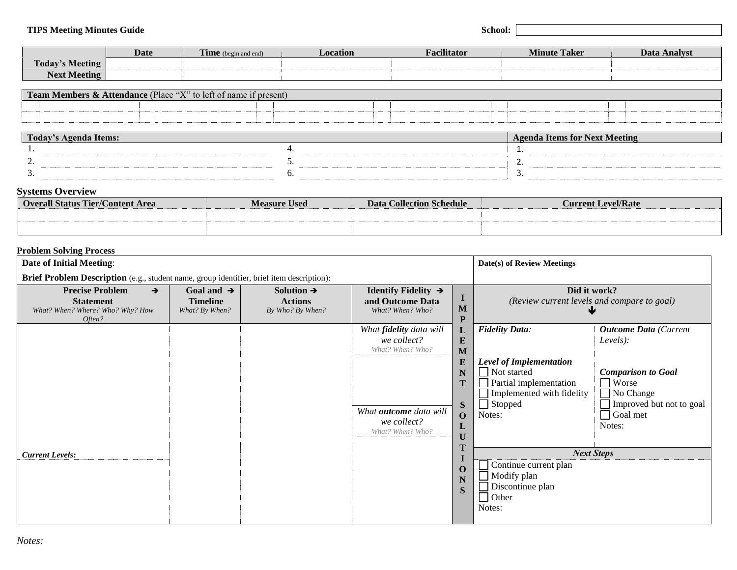|                                        | Date | FET <sup>O</sup><br>me<br>in and end) | ocation | <br>alıtator | - - -<br>$\mathbf{r}$<br>Taker<br>Minute | Analvst<br>Jata |
|----------------------------------------|------|---------------------------------------|---------|--------------|------------------------------------------|-----------------|
| Today<br>Meeting                       |      |                                       |         |              |                                          |                 |
| $\mathbf{r}$<br><b>Meeting</b><br>Javt |      |                                       |         |              |                                          |                 |

| <b>Team Members</b><br><b>Attendance</b> (Place) | $-6572$<br>$\sim$ + +<br><sup>1</sup> t present<br>name. |  |  |
|--------------------------------------------------|----------------------------------------------------------|--|--|
|                                                  |                                                          |  |  |
|                                                  |                                                          |  |  |

| $\sim$ $\sim$<br>tems<br>100aV<br>a genda |          | - Acenda Items for Next<br>etıng |
|-------------------------------------------|----------|----------------------------------|
|                                           |          | -                                |
| -                                         | <u>.</u> | -                                |
|                                           | .        |                                  |

## **Systems Overview**

| <b>Overall Status Tier/Content Area</b> | <b>Measure Used</b> | <b>Data Collection Schedule</b> | <b>Current Level/Rate</b> |
|-----------------------------------------|---------------------|---------------------------------|---------------------------|
|                                         |                     |                                 |                           |
|                                         |                     |                                 |                           |

## **Problem Solving Process**

| <b>Date of Initial Meeting:</b>                                                                           |                                                             |                                                              |                                                                                      |                                                            | Date(s) of Review Meetings                                                                                                                        |                                                                                                                                       |  |
|-----------------------------------------------------------------------------------------------------------|-------------------------------------------------------------|--------------------------------------------------------------|--------------------------------------------------------------------------------------|------------------------------------------------------------|---------------------------------------------------------------------------------------------------------------------------------------------------|---------------------------------------------------------------------------------------------------------------------------------------|--|
| Brief Problem Description (e.g., student name, group identifier, brief item description):                 |                                                             |                                                              |                                                                                      |                                                            |                                                                                                                                                   |                                                                                                                                       |  |
| <b>Precise Problem</b><br>$\rightarrow$<br><b>Statement</b><br>What? When? Where? Who? Why? How<br>Often? | Goal and $\rightarrow$<br><b>Timeline</b><br>What? By When? | Solution $\rightarrow$<br><b>Actions</b><br>By Who? By When? | Identify Fidelity $\rightarrow$<br>and Outcome Data<br>What? When? Who?              | M<br>P                                                     | Did it work?<br>(Review current levels and compare to goal)                                                                                       |                                                                                                                                       |  |
|                                                                                                           |                                                             |                                                              | What fidelity data will<br>we collect?<br>What? When? Who?<br>What outcome data will | ப<br>E<br>M<br>E<br>N<br>S                                 | <b>Fidelity Data:</b><br><b>Level of Implementation</b><br>  Not started<br>Partial implementation<br>Implemented with fidelity<br>$\Box$ Stopped | <b>Outcome Data</b> (Current<br>Levels):<br><b>Comparison to Goal</b><br>$\Box$ Worse<br>$\Box$ No Change<br>Improved but not to goal |  |
| <b>Current Levels:</b>                                                                                    |                                                             |                                                              | we collect?<br>What? When? Who?                                                      | $\mathbf{O}$<br>ப<br>U<br>$\mathbf 0$<br>$\mathbf N$<br>S. | Notes:<br><b>Next Steps</b><br>Continue current plan<br>$\blacksquare$ Modify plan<br>Discontinue plan<br>  Other<br>Notes:                       | Goal met<br>Notes:                                                                                                                    |  |